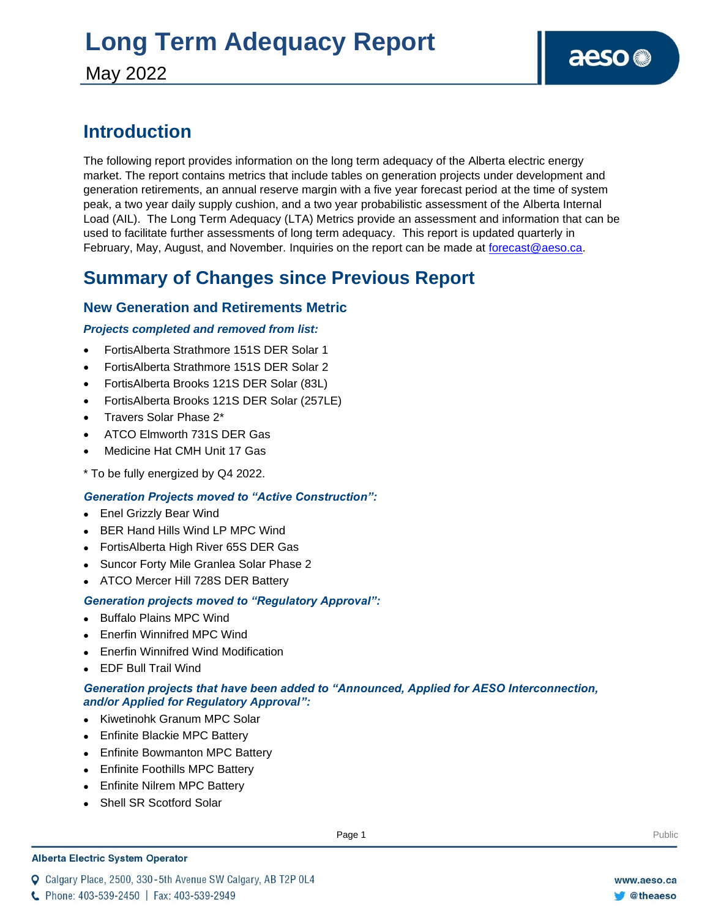# **Long Term Adequacy Report**

May 2022

### **Introduction**

The following report provides information on the long term adequacy of the Alberta electric energy market. The report contains metrics that include tables on generation projects under development and generation retirements, an annual reserve margin with a five year forecast period at the time of system peak, a two year daily supply cushion, and a two year probabilistic assessment of the Alberta Internal Load (AIL). The Long Term Adequacy (LTA) Metrics provide an assessment and information that can be used to facilitate further assessments of long term adequacy. This report is updated quarterly in February, May, August, and November. Inquiries on the report can be made at [forecast@aeso.ca.](mailto:forecast@aeso.ca)

### **Summary of Changes since Previous Report**

### **New Generation and Retirements Metric**

#### *Projects completed and removed from list:*

- FortisAlberta Strathmore 151S DER Solar 1
- FortisAlberta Strathmore 151S DER Solar 2
- FortisAlberta Brooks 121S DER Solar (83L)
- FortisAlberta Brooks 121S DER Solar (257LE)
- Travers Solar Phase 2\*
- ATCO Elmworth 731S DER Gas
- Medicine Hat CMH Unit 17 Gas
- \* To be fully energized by Q4 2022.

### *Generation Projects moved to "Active Construction":*

- ⚫ Enel Grizzly Bear Wind
- ⚫ BER Hand Hills Wind LP MPC Wind
- ⚫ FortisAlberta High River 65S DER Gas
- ⚫ Suncor Forty Mile Granlea Solar Phase 2
- ⚫ ATCO Mercer Hill 728S DER Battery

#### *Generation projects moved to "Regulatory Approval":*

- ⚫ Buffalo Plains MPC Wind
- ⚫ Enerfin Winnifred MPC Wind
- ⚫ Enerfin Winnifred Wind Modification
- ⚫ EDF Bull Trail Wind

#### *Generation projects that have been added to "Announced, Applied for AESO Interconnection, and/or Applied for Regulatory Approval":*

- ⚫ Kiwetinohk Granum MPC Solar
- ⚫ Enfinite Blackie MPC Battery
- ⚫ Enfinite Bowmanton MPC Battery
- ⚫ Enfinite Foothills MPC Battery
- ⚫ Enfinite Nilrem MPC Battery
- ⚫ Shell SR Scotford Solar

#### **Alberta Electric System Operator**

Q Calgary Place, 2500, 330-5th Avenue SW Calgary, AB T2P 0L4

**Enter Football Page 1** Public Page 1 **Public Page 1** Public Public Public Public Public Public Public Public Public Public Public Public Public Public Public Public Public Public Public Public Public Public Public Public

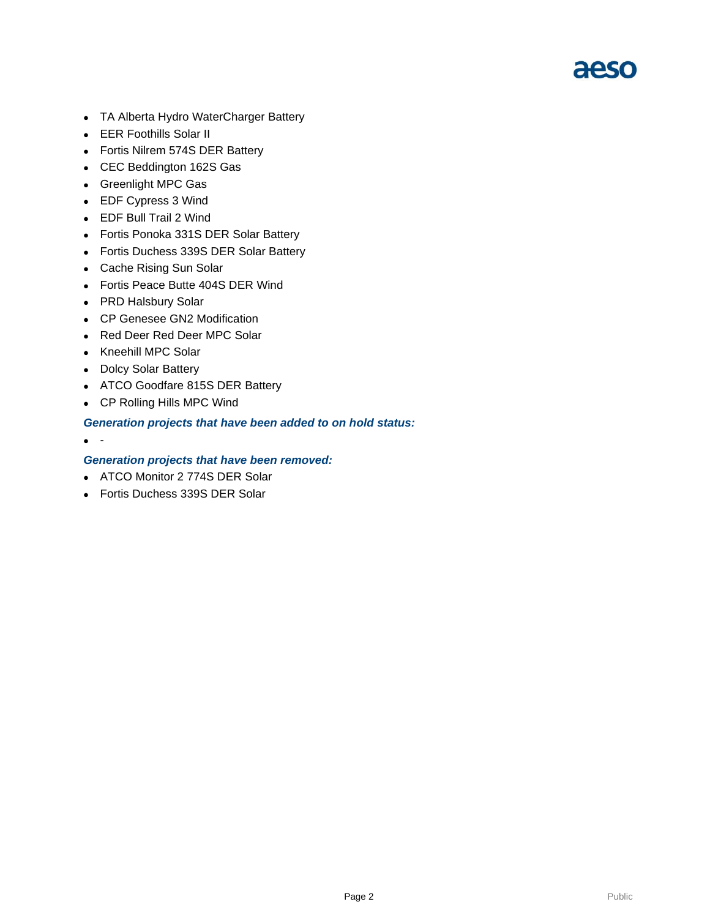

- ⚫ TA Alberta Hydro WaterCharger Battery
- ⚫ EER Foothills Solar II
- ⚫ Fortis Nilrem 574S DER Battery
- ⚫ CEC Beddington 162S Gas
- ⚫ Greenlight MPC Gas
- ⚫ EDF Cypress 3 Wind
- EDF Bull Trail 2 Wind
- ⚫ Fortis Ponoka 331S DER Solar Battery
- ⚫ Fortis Duchess 339S DER Solar Battery
- ⚫ Cache Rising Sun Solar
- ⚫ Fortis Peace Butte 404S DER Wind
- ⚫ PRD Halsbury Solar
- ⚫ CP Genesee GN2 Modification
- ⚫ Red Deer Red Deer MPC Solar
- ⚫ Kneehill MPC Solar
- ⚫ Dolcy Solar Battery
- ⚫ ATCO Goodfare 815S DER Battery
- ⚫ CP Rolling Hills MPC Wind

#### *Generation projects that have been added to on hold status:*

 $\bullet$  -

#### *Generation projects that have been removed:*

- ⚫ ATCO Monitor 2 774S DER Solar
- Fortis Duchess 339S DER Solar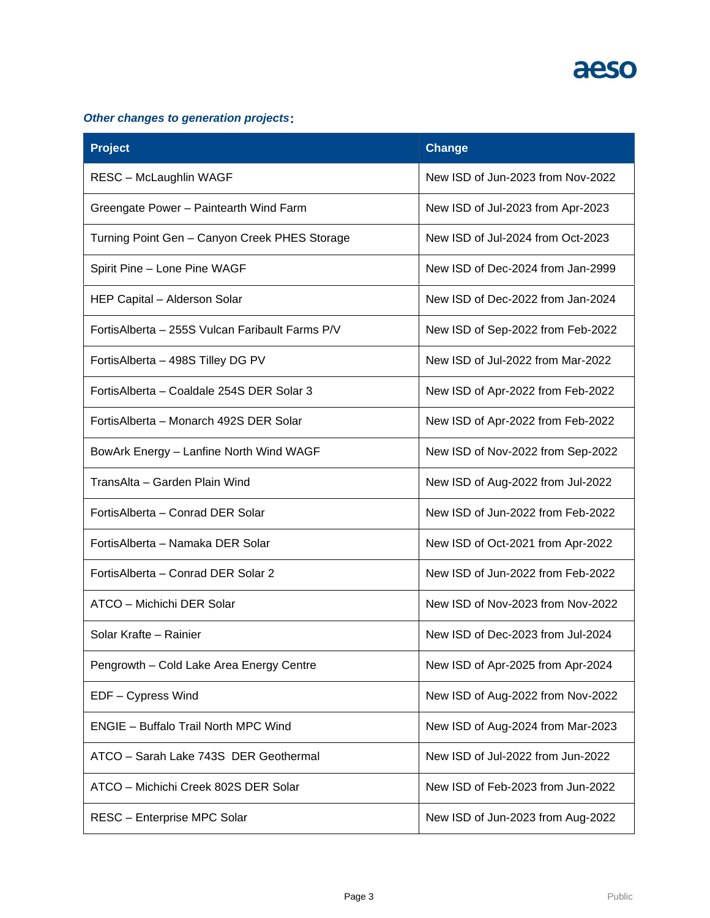

### *Other changes to generation projects***:**

| <b>Project</b>                                   | <b>Change</b>                     |
|--------------------------------------------------|-----------------------------------|
| RESC - McLaughlin WAGF                           | New ISD of Jun-2023 from Nov-2022 |
| Greengate Power - Paintearth Wind Farm           | New ISD of Jul-2023 from Apr-2023 |
| Turning Point Gen - Canyon Creek PHES Storage    | New ISD of Jul-2024 from Oct-2023 |
| Spirit Pine - Lone Pine WAGF                     | New ISD of Dec-2024 from Jan-2999 |
| HEP Capital - Alderson Solar                     | New ISD of Dec-2022 from Jan-2024 |
| Fortis Alberta - 255S Vulcan Faribault Farms P/V | New ISD of Sep-2022 from Feb-2022 |
| FortisAlberta - 498S Tilley DG PV                | New ISD of Jul-2022 from Mar-2022 |
| FortisAlberta - Coaldale 254S DER Solar 3        | New ISD of Apr-2022 from Feb-2022 |
| FortisAlberta – Monarch 492S DER Solar           | New ISD of Apr-2022 from Feb-2022 |
| BowArk Energy - Lanfine North Wind WAGF          | New ISD of Nov-2022 from Sep-2022 |
| TransAlta - Garden Plain Wind                    | New ISD of Aug-2022 from Jul-2022 |
| FortisAlberta - Conrad DER Solar                 | New ISD of Jun-2022 from Feb-2022 |
| FortisAlberta - Namaka DER Solar                 | New ISD of Oct-2021 from Apr-2022 |
| Fortis Alberta - Conrad DER Solar 2              | New ISD of Jun-2022 from Feb-2022 |
| ATCO - Michichi DER Solar                        | New ISD of Nov-2023 from Nov-2022 |
| Solar Krafte - Rainier                           | New ISD of Dec-2023 from Jul-2024 |
| Pengrowth - Cold Lake Area Energy Centre         | New ISD of Apr-2025 from Apr-2024 |
| EDF - Cypress Wind                               | New ISD of Aug-2022 from Nov-2022 |
| <b>ENGIE - Buffalo Trail North MPC Wind</b>      | New ISD of Aug-2024 from Mar-2023 |
| ATCO - Sarah Lake 743S DER Geothermal            | New ISD of Jul-2022 from Jun-2022 |
| ATCO - Michichi Creek 802S DER Solar             | New ISD of Feb-2023 from Jun-2022 |
| RESC - Enterprise MPC Solar                      | New ISD of Jun-2023 from Aug-2022 |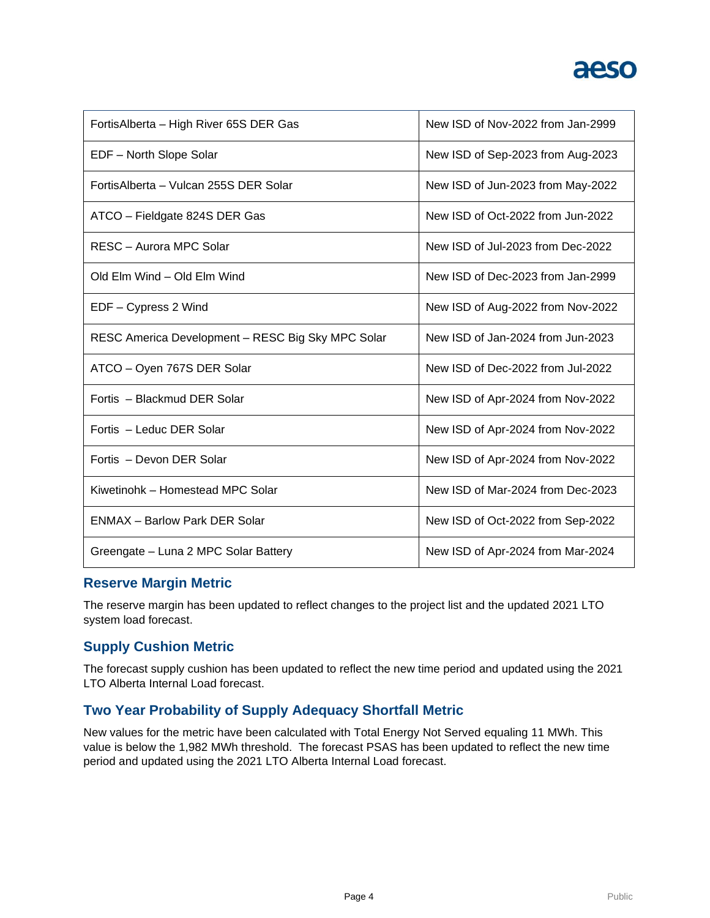| FortisAlberta - High River 65S DER Gas            | New ISD of Nov-2022 from Jan-2999 |
|---------------------------------------------------|-----------------------------------|
| EDF - North Slope Solar                           | New ISD of Sep-2023 from Aug-2023 |
| FortisAlberta - Vulcan 255S DER Solar             | New ISD of Jun-2023 from May-2022 |
| ATCO - Fieldgate 824S DER Gas                     | New ISD of Oct-2022 from Jun-2022 |
| RESC - Aurora MPC Solar                           | New ISD of Jul-2023 from Dec-2022 |
| Old Elm Wind - Old Elm Wind                       | New ISD of Dec-2023 from Jan-2999 |
| EDF - Cypress 2 Wind                              | New ISD of Aug-2022 from Nov-2022 |
| RESC America Development - RESC Big Sky MPC Solar | New ISD of Jan-2024 from Jun-2023 |
| ATCO - Oyen 767S DER Solar                        | New ISD of Dec-2022 from Jul-2022 |
| Fortis - Blackmud DER Solar                       | New ISD of Apr-2024 from Nov-2022 |
| Fortis - Leduc DER Solar                          | New ISD of Apr-2024 from Nov-2022 |
| Fortis - Devon DER Solar                          | New ISD of Apr-2024 from Nov-2022 |
| Kiwetinohk - Homestead MPC Solar                  | New ISD of Mar-2024 from Dec-2023 |
| <b>ENMAX - Barlow Park DER Solar</b>              | New ISD of Oct-2022 from Sep-2022 |
| Greengate - Luna 2 MPC Solar Battery              | New ISD of Apr-2024 from Mar-2024 |

### **Reserve Margin Metric**

The reserve margin has been updated to reflect changes to the project list and the updated 2021 LTO system load forecast.

### **Supply Cushion Metric**

The forecast supply cushion has been updated to reflect the new time period and updated using the 2021 LTO Alberta Internal Load forecast.

### **Two Year Probability of Supply Adequacy Shortfall Metric**

New values for the metric have been calculated with Total Energy Not Served equaling 11 MWh. This value is below the 1,982 MWh threshold. The forecast PSAS has been updated to reflect the new time period and updated using the 2021 LTO Alberta Internal Load forecast.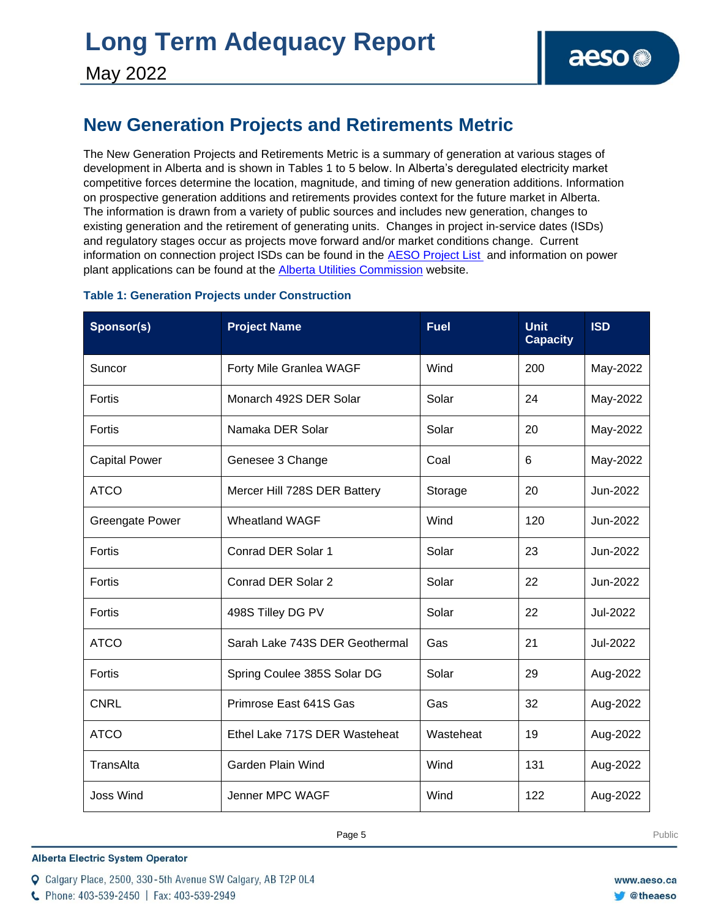### **New Generation Projects and Retirements Metric**

The New Generation Projects and Retirements Metric is a summary of generation at various stages of development in Alberta and is shown in Tables 1 to 5 below. In Alberta's deregulated electricity market competitive forces determine the location, magnitude, and timing of new generation additions. Information on prospective generation additions and retirements provides context for the future market in Alberta. The information is drawn from a variety of public sources and includes new generation, changes to existing generation and the retirement of generating units. Changes in project in-service dates (ISDs) and regulatory stages occur as projects move forward and/or market conditions change. Current information on connection project ISDs can be found in the [AESO Project List](https://www.aeso.ca/grid/connecting-to-the-grid/) and information on power plant applications can be found at the [Alberta Utilities Commission](http://www.auc.ab.ca/) website.

#### **Table 1: Generation Projects under Construction**

| Sponsor(s)             | <b>Project Name</b>            | <b>Fuel</b> | <b>Unit</b><br><b>Capacity</b> | <b>ISD</b> |
|------------------------|--------------------------------|-------------|--------------------------------|------------|
| Suncor                 | Forty Mile Granlea WAGF        | Wind        | 200                            | May-2022   |
| Fortis                 | Monarch 492S DER Solar         | Solar       | 24                             | May-2022   |
| Fortis                 | Namaka DER Solar               | Solar       | 20                             | May-2022   |
| <b>Capital Power</b>   | Genesee 3 Change               | Coal        | 6                              | May-2022   |
| <b>ATCO</b>            | Mercer Hill 728S DER Battery   | Storage     | 20                             | Jun-2022   |
| <b>Greengate Power</b> | <b>Wheatland WAGF</b>          | Wind        | 120                            | Jun-2022   |
| Fortis                 | Conrad DER Solar 1             | Solar       | 23                             | Jun-2022   |
| Fortis                 | Conrad DER Solar 2             | Solar       | 22                             | Jun-2022   |
| Fortis                 | 498S Tilley DG PV              | Solar       | 22                             | Jul-2022   |
| <b>ATCO</b>            | Sarah Lake 743S DER Geothermal | Gas         | 21                             | Jul-2022   |
| Fortis                 | Spring Coulee 385S Solar DG    | Solar       | 29                             | Aug-2022   |
| <b>CNRL</b>            | Primrose East 641S Gas         | Gas         | 32                             | Aug-2022   |
| <b>ATCO</b>            | Ethel Lake 717S DER Wasteheat  | Wasteheat   | 19                             | Aug-2022   |
| TransAlta              | Garden Plain Wind              | Wind        | 131                            | Aug-2022   |
| <b>Joss Wind</b>       | Jenner MPC WAGF                | Wind        | 122                            | Aug-2022   |

**Alberta Electric System Operator** 

Q Calgary Place, 2500, 330-5th Avenue SW Calgary, AB T2P 0L4

C Phone: 403-539-2450 | Fax: 403-539-2949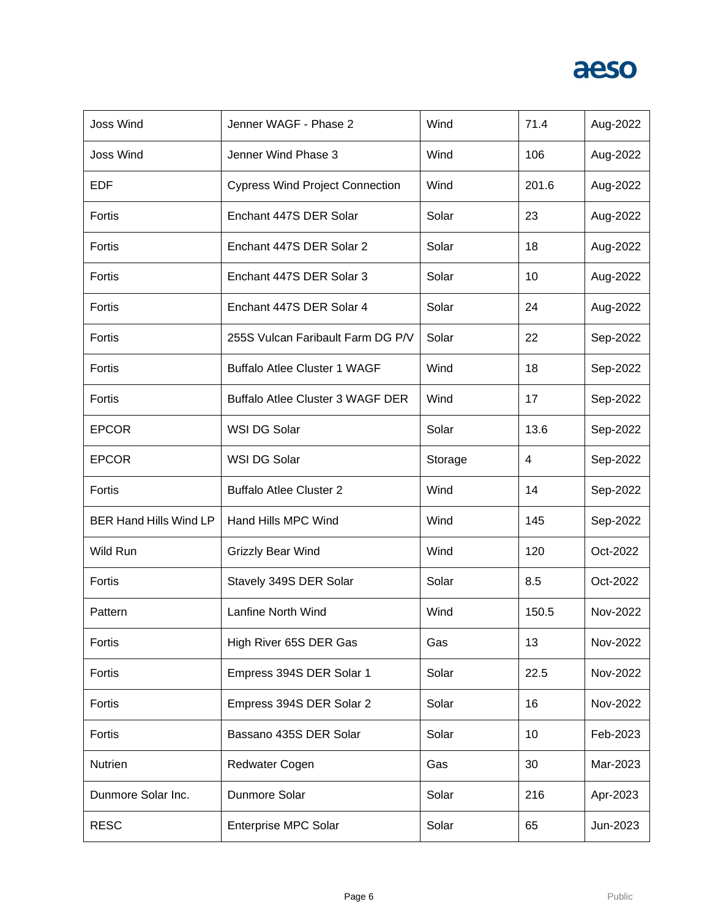| <b>Joss Wind</b>              | Jenner WAGF - Phase 2                   | Wind    | 71.4  | Aug-2022 |
|-------------------------------|-----------------------------------------|---------|-------|----------|
| <b>Joss Wind</b>              | Jenner Wind Phase 3                     | Wind    | 106   | Aug-2022 |
| <b>EDF</b>                    | <b>Cypress Wind Project Connection</b>  | Wind    | 201.6 | Aug-2022 |
| Fortis                        | Enchant 447S DER Solar                  | Solar   | 23    | Aug-2022 |
| Fortis                        | Enchant 447S DER Solar 2                | Solar   | 18    | Aug-2022 |
| Fortis                        | Enchant 447S DER Solar 3                | Solar   | 10    | Aug-2022 |
| Fortis                        | Enchant 447S DER Solar 4                | Solar   | 24    | Aug-2022 |
| Fortis                        | 255S Vulcan Faribault Farm DG P/V       | Solar   | 22    | Sep-2022 |
| Fortis                        | <b>Buffalo Atlee Cluster 1 WAGF</b>     | Wind    | 18    | Sep-2022 |
| Fortis                        | <b>Buffalo Atlee Cluster 3 WAGF DER</b> | Wind    | 17    | Sep-2022 |
| <b>EPCOR</b>                  | WSI DG Solar                            | Solar   | 13.6  | Sep-2022 |
| <b>EPCOR</b>                  | WSI DG Solar                            | Storage | 4     | Sep-2022 |
| Fortis                        | <b>Buffalo Atlee Cluster 2</b>          | Wind    | 14    | Sep-2022 |
| <b>BER Hand Hills Wind LP</b> | Hand Hills MPC Wind                     | Wind    | 145   | Sep-2022 |
| Wild Run                      | Grizzly Bear Wind                       | Wind    | 120   | Oct-2022 |
| Fortis                        | Stavely 349S DER Solar                  | Solar   | 8.5   | Oct-2022 |
| Pattern                       | Lanfine North Wind                      | Wind    | 150.5 | Nov-2022 |
| Fortis                        | High River 65S DER Gas                  | Gas     | 13    | Nov-2022 |
| Fortis                        | Empress 394S DER Solar 1                | Solar   | 22.5  | Nov-2022 |
| Fortis                        |                                         |         |       |          |
|                               | Empress 394S DER Solar 2                | Solar   | 16    | Nov-2022 |
| Fortis                        | Bassano 435S DER Solar                  | Solar   | 10    | Feb-2023 |
| Nutrien                       | <b>Redwater Cogen</b>                   | Gas     | 30    | Mar-2023 |
| Dunmore Solar Inc.            | Dunmore Solar                           | Solar   | 216   | Apr-2023 |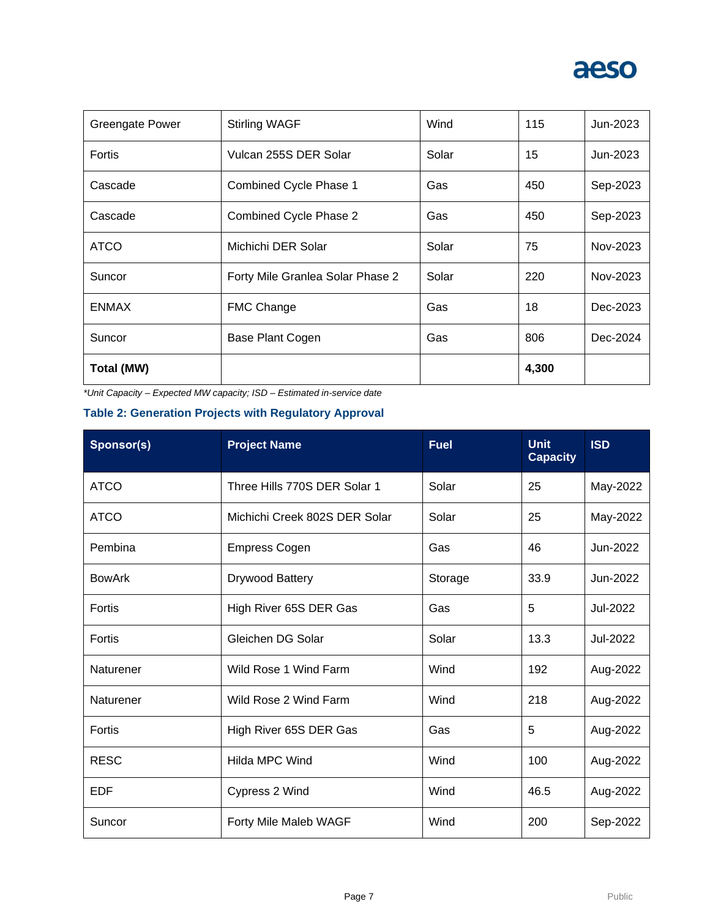| Greengate Power | <b>Stirling WAGF</b>             | Wind  | 115   | Jun-2023 |
|-----------------|----------------------------------|-------|-------|----------|
| Fortis          | Vulcan 255S DER Solar            | Solar | 15    | Jun-2023 |
| Cascade         | Combined Cycle Phase 1           | Gas   | 450   | Sep-2023 |
| Cascade         | Combined Cycle Phase 2           | Gas   | 450   | Sep-2023 |
| <b>ATCO</b>     | Michichi DER Solar               | Solar | 75    | Nov-2023 |
| Suncor          | Forty Mile Granlea Solar Phase 2 | Solar | 220   | Nov-2023 |
| <b>ENMAX</b>    | <b>FMC Change</b>                | Gas   | 18    | Dec-2023 |
| Suncor          | Base Plant Cogen                 | Gas   | 806   | Dec-2024 |
| Total (MW)      |                                  |       | 4,300 |          |

*\*Unit Capacity – Expected MW capacity; ISD – Estimated in-service date*

### **Table 2: Generation Projects with Regulatory Approval**

| Sponsor(s)    | <b>Project Name</b>           | <b>Fuel</b> | <b>Unit</b><br><b>Capacity</b> | <b>ISD</b> |
|---------------|-------------------------------|-------------|--------------------------------|------------|
| <b>ATCO</b>   | Three Hills 770S DER Solar 1  | Solar       | 25                             | May-2022   |
| <b>ATCO</b>   | Michichi Creek 802S DER Solar | Solar       | 25                             | May-2022   |
| Pembina       | <b>Empress Cogen</b>          | Gas         | 46                             | Jun-2022   |
| <b>BowArk</b> | Drywood Battery               | Storage     | 33.9                           | Jun-2022   |
| Fortis        | High River 65S DER Gas        | Gas         | 5                              | Jul-2022   |
| Fortis        | Gleichen DG Solar             | Solar       | 13.3                           | Jul-2022   |
| Naturener     | Wild Rose 1 Wind Farm         | Wind        | 192                            | Aug-2022   |
| Naturener     | Wild Rose 2 Wind Farm         | Wind        | 218                            | Aug-2022   |
| Fortis        | High River 65S DER Gas        | Gas         | 5                              | Aug-2022   |
| <b>RESC</b>   | Hilda MPC Wind                | Wind        | 100                            | Aug-2022   |
| <b>EDF</b>    | Cypress 2 Wind                | Wind        | 46.5                           | Aug-2022   |
| Suncor        | Forty Mile Maleb WAGF         | Wind        | 200                            | Sep-2022   |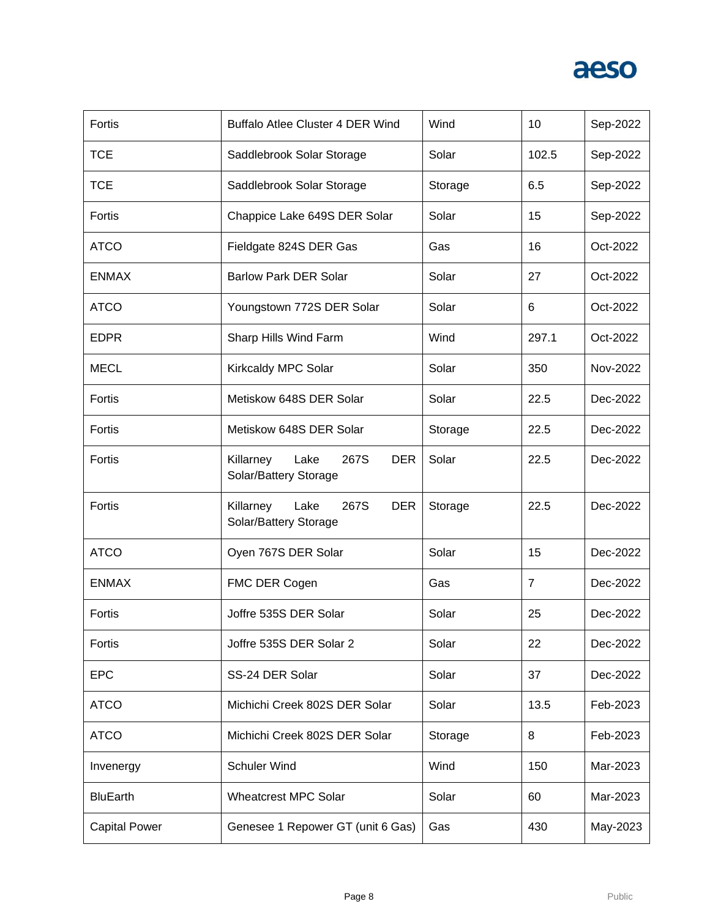| Fortis               | Buffalo Atlee Cluster 4 DER Wind                                 | Wind    | 10             | Sep-2022 |
|----------------------|------------------------------------------------------------------|---------|----------------|----------|
| <b>TCE</b>           | Saddlebrook Solar Storage                                        | Solar   | 102.5          | Sep-2022 |
| <b>TCE</b>           | Saddlebrook Solar Storage                                        | Storage | 6.5            | Sep-2022 |
| Fortis               | Chappice Lake 649S DER Solar                                     | Solar   | 15             | Sep-2022 |
| <b>ATCO</b>          | Fieldgate 824S DER Gas                                           | Gas     | 16             | Oct-2022 |
| <b>ENMAX</b>         | <b>Barlow Park DER Solar</b>                                     | Solar   | 27             | Oct-2022 |
| <b>ATCO</b>          | Youngstown 772S DER Solar                                        | Solar   | 6              | Oct-2022 |
| <b>EDPR</b>          | Sharp Hills Wind Farm                                            | Wind    | 297.1          | Oct-2022 |
| <b>MECL</b>          | Kirkcaldy MPC Solar                                              | Solar   | 350            | Nov-2022 |
| Fortis               | Metiskow 648S DER Solar                                          | Solar   | 22.5           | Dec-2022 |
| Fortis               | Metiskow 648S DER Solar                                          | Storage | 22.5           | Dec-2022 |
| Fortis               | Lake<br>267S<br>Killarney<br><b>DER</b><br>Solar/Battery Storage | Solar   | 22.5           | Dec-2022 |
| Fortis               | Killarney<br>267S<br>Lake<br><b>DER</b><br>Solar/Battery Storage | Storage | 22.5           | Dec-2022 |
| <b>ATCO</b>          | Oyen 767S DER Solar                                              | Solar   | 15             | Dec-2022 |
| <b>ENMAX</b>         | FMC DER Cogen                                                    | Gas     | $\overline{7}$ | Dec-2022 |
| Fortis               | Joffre 535S DER Solar                                            | Solar   | 25             | Dec-2022 |
| Fortis               | Joffre 535S DER Solar 2                                          | Solar   | 22             | Dec-2022 |
| <b>EPC</b>           | SS-24 DER Solar                                                  | Solar   | 37             | Dec-2022 |
| <b>ATCO</b>          | Michichi Creek 802S DER Solar                                    | Solar   | 13.5           | Feb-2023 |
| <b>ATCO</b>          | Michichi Creek 802S DER Solar                                    | Storage | 8              | Feb-2023 |
| Invenergy            | <b>Schuler Wind</b>                                              | Wind    | 150            | Mar-2023 |
| <b>BluEarth</b>      | <b>Wheatcrest MPC Solar</b>                                      | Solar   | 60             | Mar-2023 |
| <b>Capital Power</b> | Genesee 1 Repower GT (unit 6 Gas)                                | Gas     | 430            | May-2023 |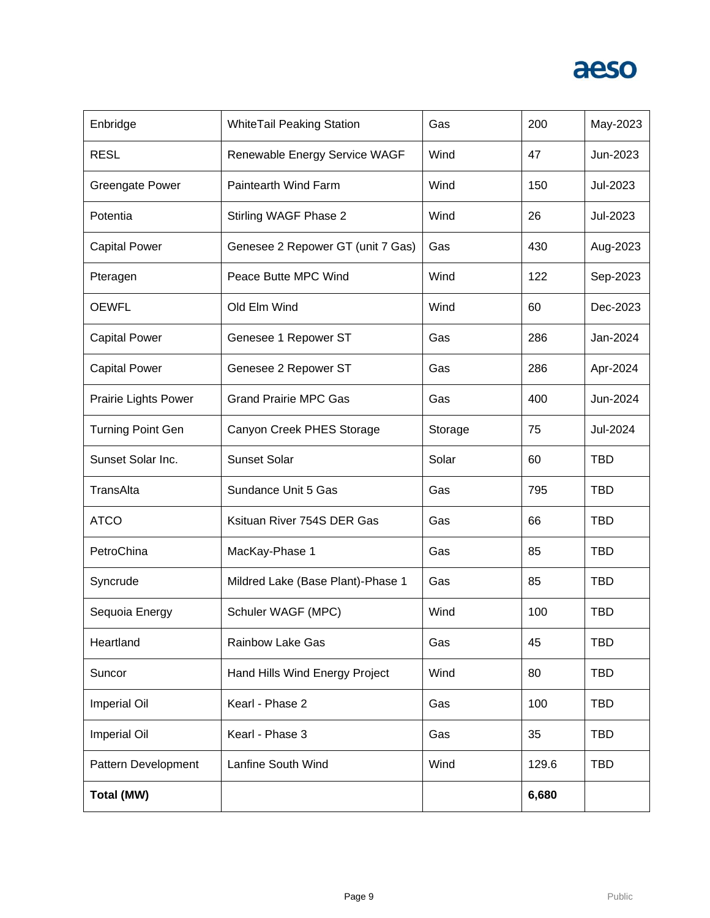| Enbridge                    | <b>WhiteTail Peaking Station</b>  | Gas     | 200   | May-2023   |
|-----------------------------|-----------------------------------|---------|-------|------------|
| <b>RESL</b>                 | Renewable Energy Service WAGF     | Wind    | 47    | Jun-2023   |
| <b>Greengate Power</b>      | Paintearth Wind Farm              | Wind    | 150   | Jul-2023   |
| Potentia                    | Stirling WAGF Phase 2             | Wind    | 26    | Jul-2023   |
| <b>Capital Power</b>        | Genesee 2 Repower GT (unit 7 Gas) | Gas     | 430   | Aug-2023   |
| Pteragen                    | Peace Butte MPC Wind              | Wind    | 122   | Sep-2023   |
| <b>OEWFL</b>                | Old Elm Wind                      | Wind    | 60    | Dec-2023   |
| <b>Capital Power</b>        | Genesee 1 Repower ST              | Gas     | 286   | Jan-2024   |
| <b>Capital Power</b>        | Genesee 2 Repower ST              | Gas     | 286   | Apr-2024   |
| <b>Prairie Lights Power</b> | <b>Grand Prairie MPC Gas</b>      | Gas     | 400   | Jun-2024   |
| <b>Turning Point Gen</b>    | Canyon Creek PHES Storage         | Storage | 75    | Jul-2024   |
| Sunset Solar Inc.           | Sunset Solar                      | Solar   | 60    | TBD        |
| TransAlta                   | Sundance Unit 5 Gas               | Gas     | 795   | TBD        |
| <b>ATCO</b>                 | Ksituan River 754S DER Gas        | Gas     | 66    | <b>TBD</b> |
| PetroChina                  | MacKay-Phase 1                    | Gas     | 85    | <b>TBD</b> |
| Syncrude                    | Mildred Lake (Base Plant)-Phase 1 | Gas     | 85    | TBD        |
| Sequoia Energy              | Schuler WAGF (MPC)                | Wind    | 100   | <b>TBD</b> |
| Heartland                   | <b>Rainbow Lake Gas</b>           | Gas     | 45    | <b>TBD</b> |
| Suncor                      | Hand Hills Wind Energy Project    | Wind    | 80    | <b>TBD</b> |
| <b>Imperial Oil</b>         | Kearl - Phase 2                   | Gas     | 100   | <b>TBD</b> |
| Imperial Oil                | Kearl - Phase 3                   | Gas     | 35    | <b>TBD</b> |
| Pattern Development         | Lanfine South Wind                | Wind    | 129.6 | <b>TBD</b> |
| Total (MW)                  |                                   |         | 6,680 |            |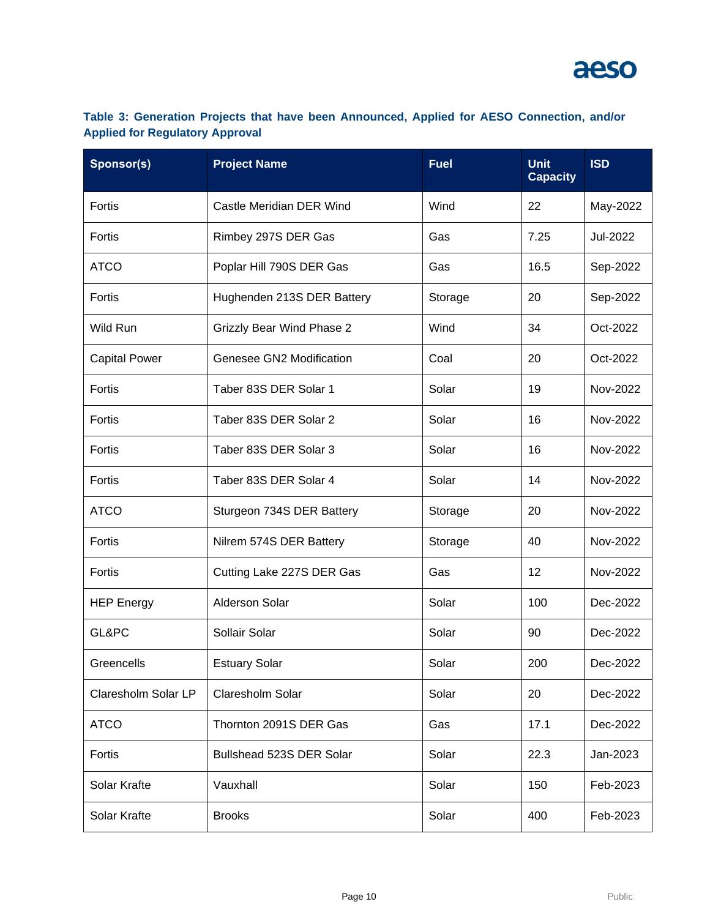### **Table 3: Generation Projects that have been Announced, Applied for AESO Connection, and/or Applied for Regulatory Approval**

| Sponsor(s)           | <b>Project Name</b>              | <b>Fuel</b> | <b>Unit</b><br><b>Capacity</b> | <b>ISD</b> |
|----------------------|----------------------------------|-------------|--------------------------------|------------|
| Fortis               | Castle Meridian DER Wind         | Wind        | 22                             | May-2022   |
| Fortis               | Rimbey 297S DER Gas              | Gas         | 7.25                           | Jul-2022   |
| <b>ATCO</b>          | Poplar Hill 790S DER Gas         | Gas         | 16.5                           | Sep-2022   |
| Fortis               | Hughenden 213S DER Battery       | Storage     | 20                             | Sep-2022   |
| Wild Run             | <b>Grizzly Bear Wind Phase 2</b> | Wind        | 34                             | Oct-2022   |
| <b>Capital Power</b> | Genesee GN2 Modification         | Coal        | 20                             | Oct-2022   |
| Fortis               | Taber 83S DER Solar 1            | Solar       | 19                             | Nov-2022   |
| Fortis               | Taber 83S DER Solar 2            | Solar       | 16                             | Nov-2022   |
| Fortis               | Taber 83S DER Solar 3            | Solar       | 16                             | Nov-2022   |
| Fortis               | Taber 83S DER Solar 4            | Solar       | 14                             | Nov-2022   |
| <b>ATCO</b>          | Sturgeon 734S DER Battery        | Storage     | 20                             | Nov-2022   |
| Fortis               | Nilrem 574S DER Battery          | Storage     | 40                             | Nov-2022   |
| Fortis               | Cutting Lake 227S DER Gas        | Gas         | 12                             | Nov-2022   |
| <b>HEP Energy</b>    | <b>Alderson Solar</b>            | Solar       | 100                            | Dec-2022   |
| GL&PC                | Sollair Solar                    | Solar       | 90                             | Dec-2022   |
| Greencells           | <b>Estuary Solar</b>             | Solar       | 200                            | Dec-2022   |
| Claresholm Solar LP  | Claresholm Solar                 | Solar       | 20                             | Dec-2022   |
| <b>ATCO</b>          | Thornton 2091S DER Gas           | Gas         | 17.1                           | Dec-2022   |
| Fortis               | Bullshead 523S DER Solar         | Solar       | 22.3                           | Jan-2023   |
| Solar Krafte         | Vauxhall                         | Solar       | 150                            | Feb-2023   |
| Solar Krafte         | <b>Brooks</b>                    | Solar       | 400                            | Feb-2023   |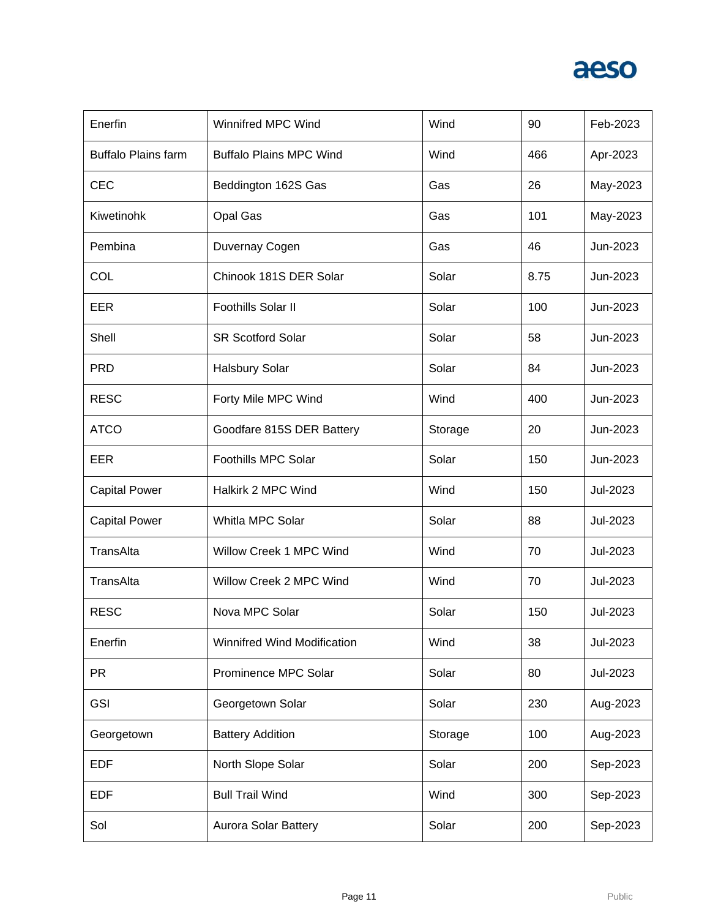| Enerfin                    | <b>Winnifred MPC Wind</b>          | Wind    | 90   | Feb-2023 |
|----------------------------|------------------------------------|---------|------|----------|
| <b>Buffalo Plains farm</b> | <b>Buffalo Plains MPC Wind</b>     | Wind    | 466  | Apr-2023 |
| <b>CEC</b>                 | Beddington 162S Gas                | Gas     | 26   | May-2023 |
| Kiwetinohk                 | Opal Gas                           | Gas     | 101  | May-2023 |
| Pembina                    | Duvernay Cogen                     | Gas     | 46   | Jun-2023 |
| COL                        | Chinook 181S DER Solar             | Solar   | 8.75 | Jun-2023 |
| EER                        | Foothills Solar II                 | Solar   | 100  | Jun-2023 |
| Shell                      | <b>SR Scotford Solar</b>           | Solar   | 58   | Jun-2023 |
| <b>PRD</b>                 | <b>Halsbury Solar</b>              | Solar   | 84   | Jun-2023 |
| <b>RESC</b>                | Forty Mile MPC Wind                | Wind    | 400  | Jun-2023 |
| <b>ATCO</b>                | Goodfare 815S DER Battery          | Storage | 20   | Jun-2023 |
| EER                        | Foothills MPC Solar                | Solar   | 150  | Jun-2023 |
| <b>Capital Power</b>       | Halkirk 2 MPC Wind                 | Wind    | 150  | Jul-2023 |
| <b>Capital Power</b>       | Whitla MPC Solar                   | Solar   | 88   | Jul-2023 |
| TransAlta                  | Willow Creek 1 MPC Wind            | Wind    | 70   | Jul-2023 |
| TransAlta                  | Willow Creek 2 MPC Wind            | Wind    | 70   | Jul-2023 |
| <b>RESC</b>                | Nova MPC Solar                     | Solar   | 150  | Jul-2023 |
| Enerfin                    | <b>Winnifred Wind Modification</b> | Wind    | 38   | Jul-2023 |
| <b>PR</b>                  | Prominence MPC Solar               | Solar   | 80   | Jul-2023 |
| <b>GSI</b>                 | Georgetown Solar                   | Solar   | 230  | Aug-2023 |
| Georgetown                 | <b>Battery Addition</b>            | Storage | 100  | Aug-2023 |
| <b>EDF</b>                 | North Slope Solar                  | Solar   | 200  | Sep-2023 |
| <b>EDF</b>                 | <b>Bull Trail Wind</b>             | Wind    | 300  | Sep-2023 |
| Sol                        | Aurora Solar Battery               | Solar   | 200  | Sep-2023 |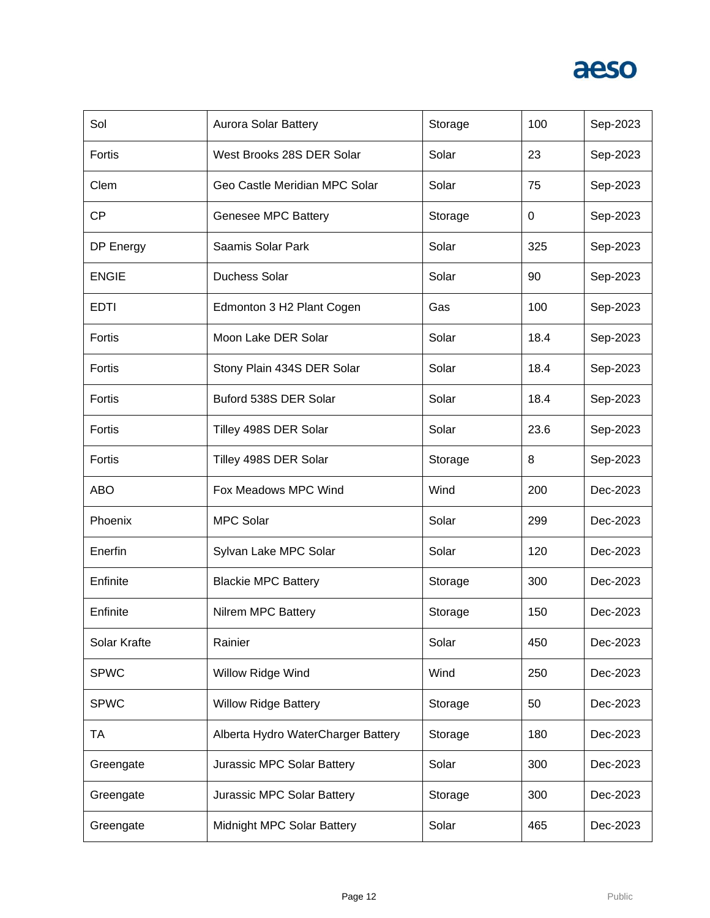| Sol          | <b>Aurora Solar Battery</b>        | Storage | 100  | Sep-2023 |
|--------------|------------------------------------|---------|------|----------|
| Fortis       | West Brooks 28S DER Solar          | Solar   | 23   | Sep-2023 |
| Clem         | Geo Castle Meridian MPC Solar      | Solar   | 75   | Sep-2023 |
| <b>CP</b>    | Genesee MPC Battery                | Storage | 0    | Sep-2023 |
| DP Energy    | Saamis Solar Park                  | Solar   | 325  | Sep-2023 |
| <b>ENGIE</b> | <b>Duchess Solar</b>               | Solar   | 90   | Sep-2023 |
| <b>EDTI</b>  | Edmonton 3 H2 Plant Cogen          | Gas     | 100  | Sep-2023 |
| Fortis       | Moon Lake DER Solar                | Solar   | 18.4 | Sep-2023 |
| Fortis       | Stony Plain 434S DER Solar         | Solar   | 18.4 | Sep-2023 |
| Fortis       | Buford 538S DER Solar              | Solar   | 18.4 | Sep-2023 |
| Fortis       | Tilley 498S DER Solar              | Solar   | 23.6 | Sep-2023 |
| Fortis       | Tilley 498S DER Solar              | Storage | 8    | Sep-2023 |
|              |                                    |         |      |          |
| ABO          | Fox Meadows MPC Wind               | Wind    | 200  | Dec-2023 |
| Phoenix      | <b>MPC Solar</b>                   | Solar   | 299  | Dec-2023 |
| Enerfin      | Sylvan Lake MPC Solar              | Solar   | 120  | Dec-2023 |
| Enfinite     | <b>Blackie MPC Battery</b>         | Storage | 300  | Dec-2023 |
| Enfinite     | Nilrem MPC Battery                 | Storage | 150  | Dec-2023 |
| Solar Krafte | Rainier                            | Solar   | 450  | Dec-2023 |
| <b>SPWC</b>  | Willow Ridge Wind                  | Wind    | 250  | Dec-2023 |
| <b>SPWC</b>  | <b>Willow Ridge Battery</b>        | Storage | 50   | Dec-2023 |
| TA           | Alberta Hydro WaterCharger Battery | Storage | 180  | Dec-2023 |
| Greengate    | Jurassic MPC Solar Battery         | Solar   | 300  | Dec-2023 |
| Greengate    | Jurassic MPC Solar Battery         | Storage | 300  | Dec-2023 |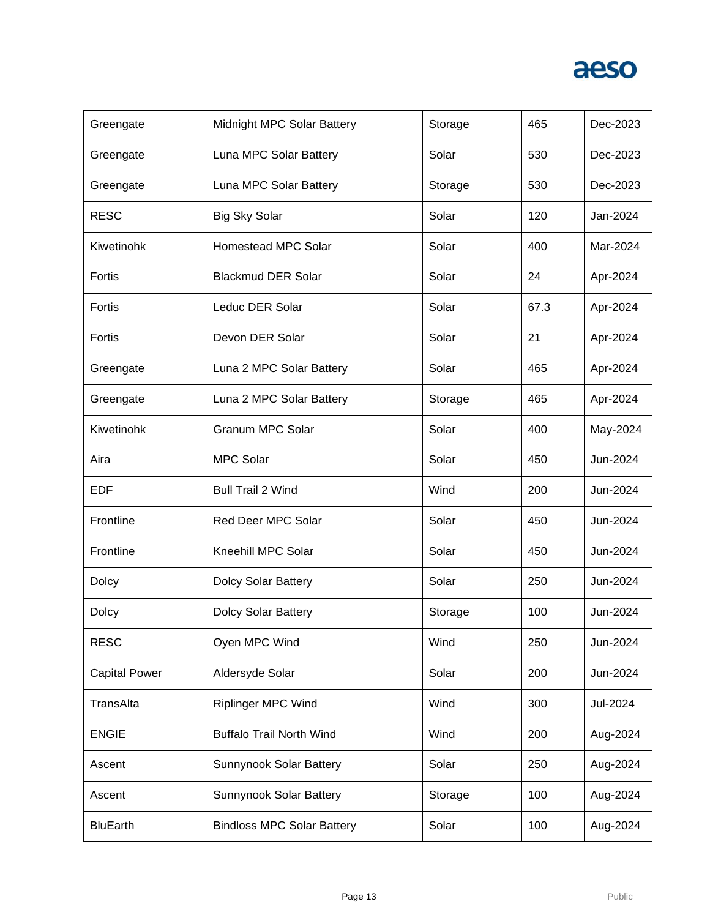| Greengate            | Midnight MPC Solar Battery        | Storage | 465  | Dec-2023 |
|----------------------|-----------------------------------|---------|------|----------|
| Greengate            | Luna MPC Solar Battery            | Solar   | 530  | Dec-2023 |
| Greengate            | Luna MPC Solar Battery            | Storage | 530  | Dec-2023 |
| <b>RESC</b>          | <b>Big Sky Solar</b>              | Solar   | 120  | Jan-2024 |
| Kiwetinohk           | <b>Homestead MPC Solar</b>        | Solar   | 400  | Mar-2024 |
| Fortis               | <b>Blackmud DER Solar</b>         | Solar   | 24   | Apr-2024 |
| Fortis               | Leduc DER Solar                   | Solar   | 67.3 | Apr-2024 |
| Fortis               | Devon DER Solar                   | Solar   | 21   | Apr-2024 |
| Greengate            | Luna 2 MPC Solar Battery          | Solar   | 465  | Apr-2024 |
| Greengate            | Luna 2 MPC Solar Battery          | Storage | 465  | Apr-2024 |
| Kiwetinohk           | <b>Granum MPC Solar</b>           | Solar   | 400  | May-2024 |
| Aira                 | <b>MPC Solar</b>                  | Solar   | 450  | Jun-2024 |
| <b>EDF</b>           | <b>Bull Trail 2 Wind</b>          | Wind    | 200  | Jun-2024 |
| Frontline            | Red Deer MPC Solar                | Solar   | 450  | Jun-2024 |
| Frontline            | Kneehill MPC Solar                | Solar   | 450  | Jun-2024 |
| Dolcy                | Dolcy Solar Battery               | Solar   | 250  | Jun-2024 |
| <b>Dolcy</b>         | <b>Dolcy Solar Battery</b>        | Storage | 100  | Jun-2024 |
| <b>RESC</b>          | Oyen MPC Wind                     | Wind    | 250  | Jun-2024 |
| <b>Capital Power</b> | Aldersyde Solar                   | Solar   | 200  | Jun-2024 |
| TransAlta            | <b>Riplinger MPC Wind</b>         | Wind    | 300  | Jul-2024 |
| <b>ENGIE</b>         | <b>Buffalo Trail North Wind</b>   | Wind    | 200  | Aug-2024 |
| Ascent               | Sunnynook Solar Battery           | Solar   | 250  | Aug-2024 |
| Ascent               | <b>Sunnynook Solar Battery</b>    | Storage | 100  | Aug-2024 |
| <b>BluEarth</b>      | <b>Bindloss MPC Solar Battery</b> | Solar   | 100  | Aug-2024 |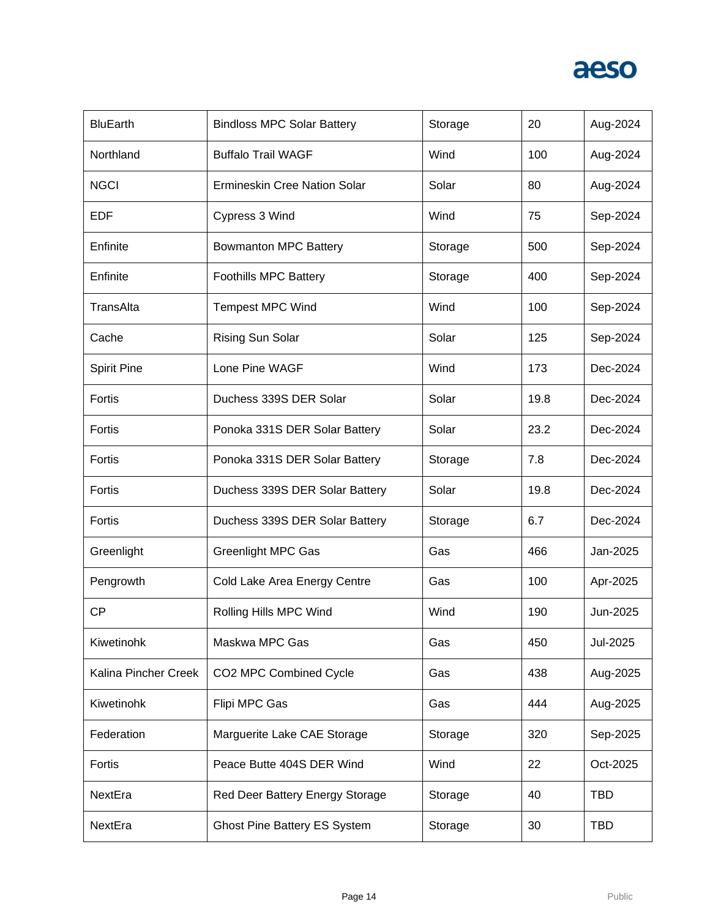| <b>BluEarth</b>      | <b>Bindloss MPC Solar Battery</b>   | Storage | 20   | Aug-2024   |
|----------------------|-------------------------------------|---------|------|------------|
| Northland            | <b>Buffalo Trail WAGF</b>           | Wind    | 100  | Aug-2024   |
| <b>NGCI</b>          | Ermineskin Cree Nation Solar        | Solar   | 80   | Aug-2024   |
| EDF                  | Cypress 3 Wind                      | Wind    | 75   | Sep-2024   |
| Enfinite             | <b>Bowmanton MPC Battery</b>        | Storage | 500  | Sep-2024   |
| Enfinite             | <b>Foothills MPC Battery</b>        | Storage | 400  | Sep-2024   |
| TransAlta            | <b>Tempest MPC Wind</b>             | Wind    | 100  | Sep-2024   |
| Cache                | Rising Sun Solar                    | Solar   | 125  | Sep-2024   |
| <b>Spirit Pine</b>   | Lone Pine WAGF                      | Wind    | 173  | Dec-2024   |
| Fortis               | Duchess 339S DER Solar              | Solar   | 19.8 | Dec-2024   |
| Fortis               | Ponoka 331S DER Solar Battery       | Solar   | 23.2 | Dec-2024   |
| Fortis               | Ponoka 331S DER Solar Battery       | Storage | 7.8  | Dec-2024   |
| Fortis               | Duchess 339S DER Solar Battery      | Solar   | 19.8 | Dec-2024   |
| Fortis               | Duchess 339S DER Solar Battery      | Storage | 6.7  | Dec-2024   |
| Greenlight           | <b>Greenlight MPC Gas</b>           | Gas     | 466  | Jan-2025   |
| Pengrowth            | Cold Lake Area Energy Centre        | Gas     | 100  | Apr-2025   |
| <b>CP</b>            | Rolling Hills MPC Wind              | Wind    | 190  | Jun-2025   |
| Kiwetinohk           | Maskwa MPC Gas                      | Gas     | 450  | Jul-2025   |
| Kalina Pincher Creek | CO2 MPC Combined Cycle              | Gas     | 438  | Aug-2025   |
| Kiwetinohk           | Flipi MPC Gas                       | Gas     | 444  | Aug-2025   |
| Federation           | Marguerite Lake CAE Storage         | Storage | 320  | Sep-2025   |
| Fortis               | Peace Butte 404S DER Wind           | Wind    | 22   | Oct-2025   |
| NextEra              | Red Deer Battery Energy Storage     | Storage | 40   | <b>TBD</b> |
| NextEra              | <b>Ghost Pine Battery ES System</b> | Storage | 30   | <b>TBD</b> |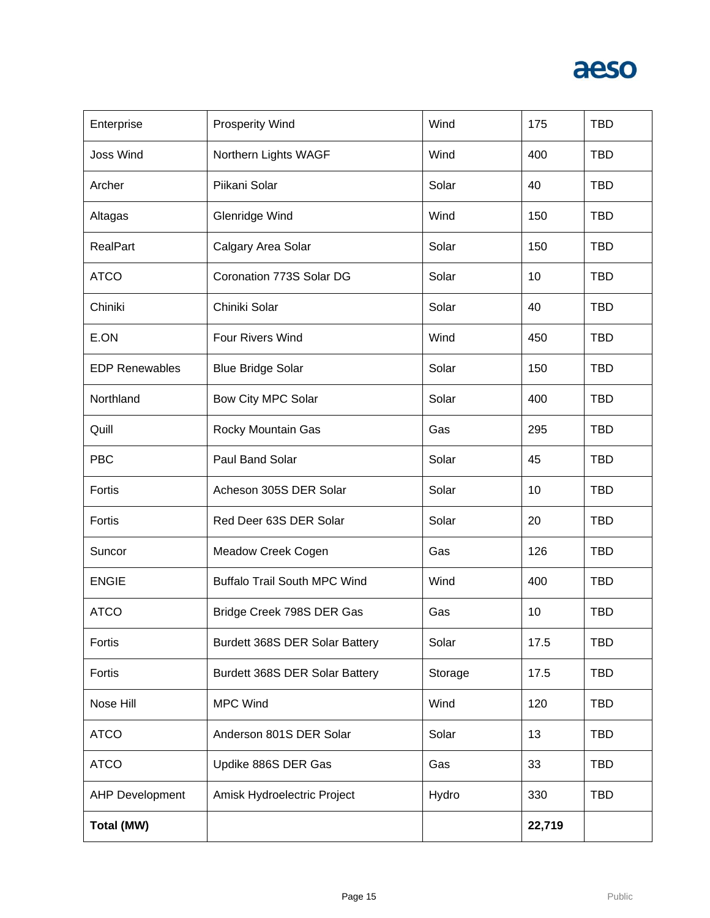| Enterprise             | <b>Prosperity Wind</b>              | Wind    | 175    | <b>TBD</b> |
|------------------------|-------------------------------------|---------|--------|------------|
| <b>Joss Wind</b>       | Northern Lights WAGF                | Wind    | 400    | <b>TBD</b> |
| Archer                 | Piikani Solar                       | Solar   | 40     | <b>TBD</b> |
| Altagas                | <b>Glenridge Wind</b>               | Wind    | 150    | <b>TBD</b> |
| <b>RealPart</b>        | Calgary Area Solar                  | Solar   | 150    | <b>TBD</b> |
| <b>ATCO</b>            | Coronation 773S Solar DG            | Solar   | 10     | <b>TBD</b> |
| Chiniki                | Chiniki Solar                       | Solar   | 40     | <b>TBD</b> |
| E.ON                   | Four Rivers Wind                    | Wind    | 450    | <b>TBD</b> |
| <b>EDP Renewables</b>  | <b>Blue Bridge Solar</b>            | Solar   | 150    | <b>TBD</b> |
| Northland              | Bow City MPC Solar                  | Solar   | 400    | <b>TBD</b> |
| Quill                  | Rocky Mountain Gas                  | Gas     | 295    | <b>TBD</b> |
| <b>PBC</b>             | Paul Band Solar                     | Solar   | 45     | <b>TBD</b> |
| Fortis                 | Acheson 305S DER Solar              | Solar   | 10     | <b>TBD</b> |
| Fortis                 | Red Deer 63S DER Solar              | Solar   | 20     | <b>TBD</b> |
| Suncor                 | Meadow Creek Cogen                  | Gas     | 126    | <b>TBD</b> |
| <b>ENGIE</b>           | <b>Buffalo Trail South MPC Wind</b> | Wind    | 400    | <b>TBD</b> |
| <b>ATCO</b>            | Bridge Creek 798S DER Gas           | Gas     | 10     | <b>TBD</b> |
| Fortis                 | Burdett 368S DER Solar Battery      | Solar   | 17.5   | <b>TBD</b> |
| Fortis                 | Burdett 368S DER Solar Battery      | Storage | 17.5   | <b>TBD</b> |
| Nose Hill              | <b>MPC Wind</b>                     | Wind    | 120    | <b>TBD</b> |
| <b>ATCO</b>            | Anderson 801S DER Solar             | Solar   | 13     | <b>TBD</b> |
| <b>ATCO</b>            | Updike 886S DER Gas                 | Gas     | 33     | <b>TBD</b> |
| <b>AHP Development</b> | Amisk Hydroelectric Project         | Hydro   | 330    | <b>TBD</b> |
| Total (MW)             |                                     |         | 22,719 |            |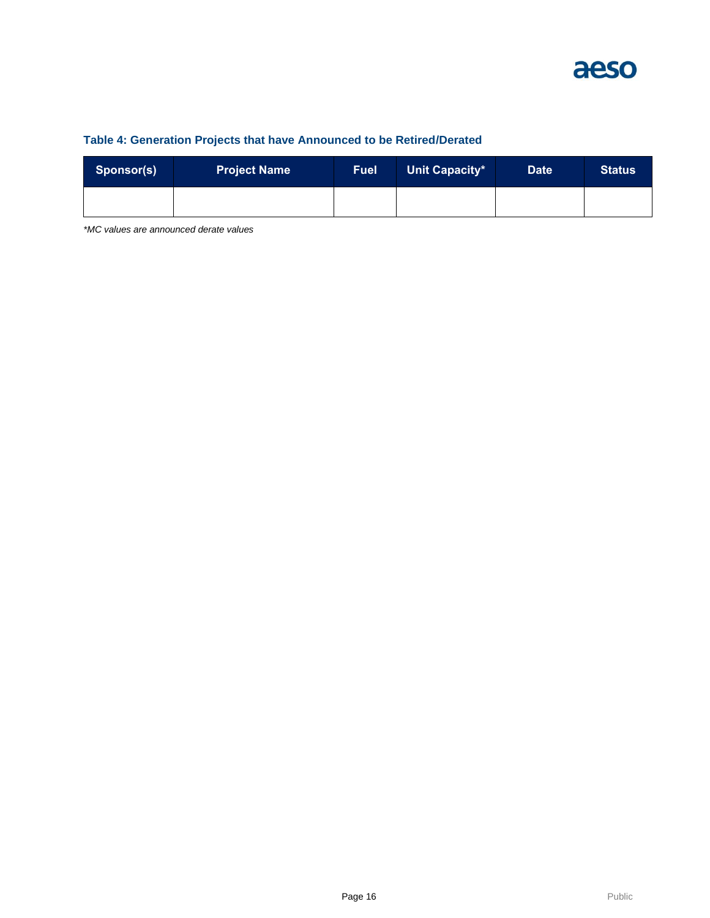

#### **Table 4: Generation Projects that have Announced to be Retired/Derated**

| Sponsor(s) | <b>Project Name</b> | <b>Fuel</b> | Unit Capacity* | <b>Date</b> | <b>Status</b> |
|------------|---------------------|-------------|----------------|-------------|---------------|
|            |                     |             |                |             |               |

*\*MC values are announced derate values*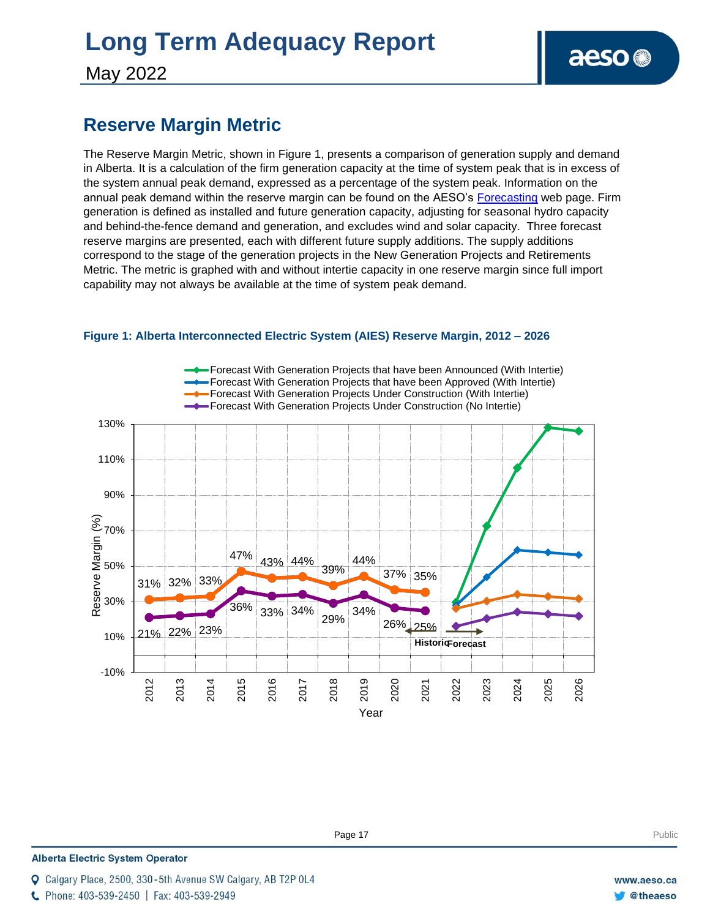# **Long Term Adequacy Report**

May 2022

### **Reserve Margin Metric**

The Reserve Margin Metric, shown in Figure 1, presents a comparison of generation supply and demand in Alberta. It is a calculation of the firm generation capacity at the time of system peak that is in excess of the system annual peak demand, expressed as a percentage of the system peak. Information on the annual peak demand within the reserve margin can be found on the AESO's [Forecasting](https://www.aeso.ca/grid/forecasting) web page. Firm generation is defined as installed and future generation capacity, adjusting for seasonal hydro capacity and behind-the-fence demand and generation, and excludes wind and solar capacity. Three forecast reserve margins are presented, each with different future supply additions. The supply additions correspond to the stage of the generation projects in the New Generation Projects and Retirements Metric. The metric is graphed with and without intertie capacity in one reserve margin since full import capability may not always be available at the time of system peak demand.



#### **Figure 1: Alberta Interconnected Electric System (AIES) Reserve Margin, 2012 – 2026**

**Enter Football Page 17** Public Public Public Public Public Public Public Public Public Public Public Public Public Public Public Public Public Public Public Public Public Public Public Public Public Public Public Public P

**Alberta Electric System Operator** 

Calgary Place, 2500, 330-5th Avenue SW Calgary, AB T2P 0L4

C Phone: 403-539-2450 | Fax: 403-539-2949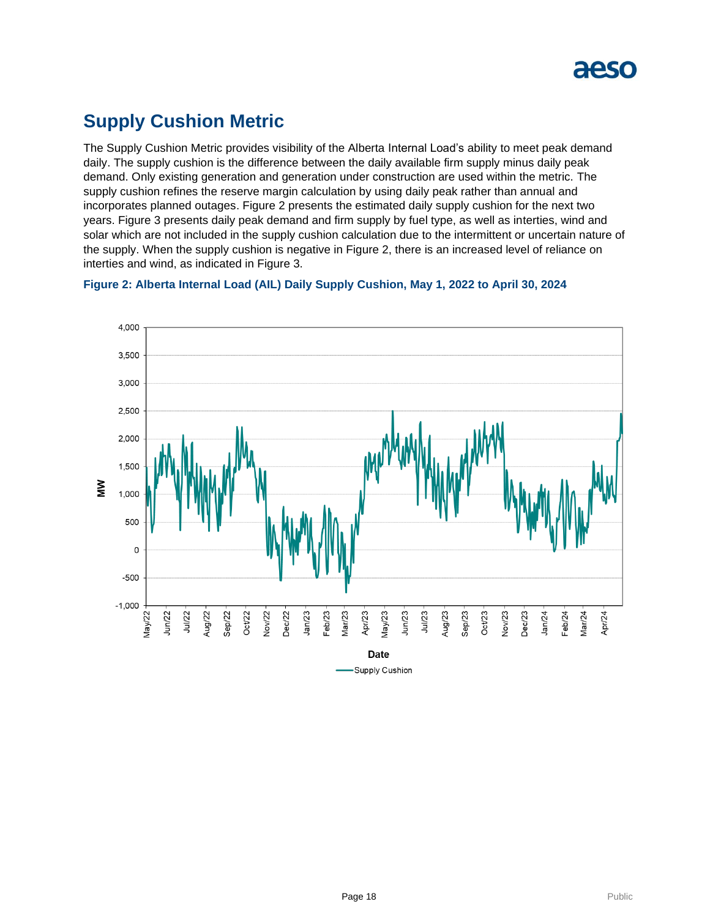

### **Supply Cushion Metric**

The Supply Cushion Metric provides visibility of the Alberta Internal Load's ability to meet peak demand daily. The supply cushion is the difference between the daily available firm supply minus daily peak demand. Only existing generation and generation under construction are used within the metric. The supply cushion refines the reserve margin calculation by using daily peak rather than annual and incorporates planned outages. Figure 2 presents the estimated daily supply cushion for the next two years. Figure 3 presents daily peak demand and firm supply by fuel type, as well as interties, wind and solar which are not included in the supply cushion calculation due to the intermittent or uncertain nature of the supply. When the supply cushion is negative in Figure 2, there is an increased level of reliance on interties and wind, as indicated in Figure 3.



**Figure 2: Alberta Internal Load (AIL) Daily Supply Cushion, May 1, 2022 to April 30, 2024**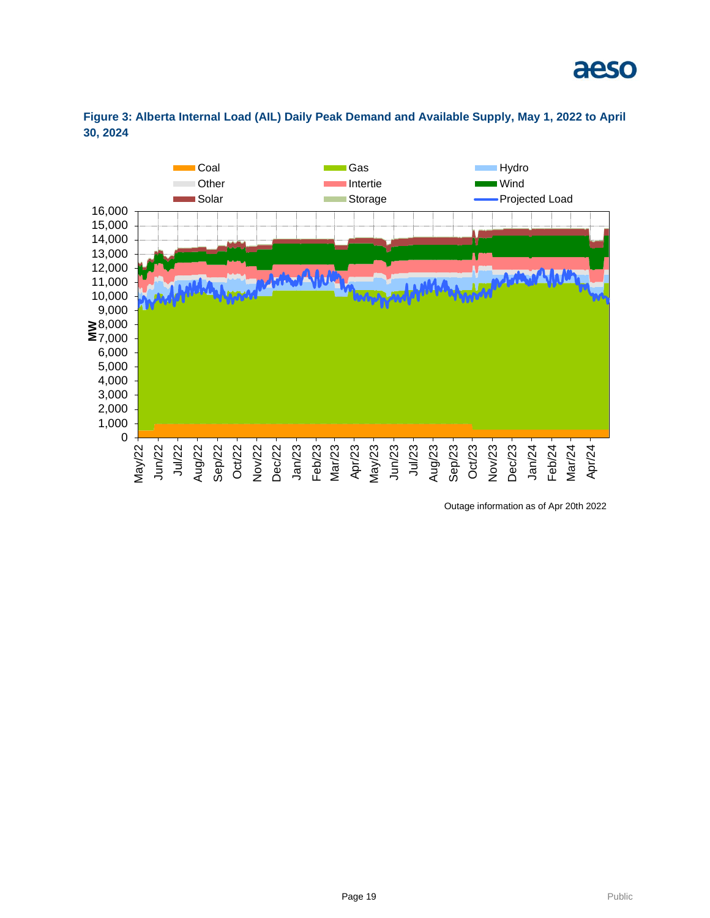



**Figure 3: Alberta Internal Load (AIL) Daily Peak Demand and Available Supply, May 1, 2022 to April 30, 2024**

Outage information as of Apr 20th 2022